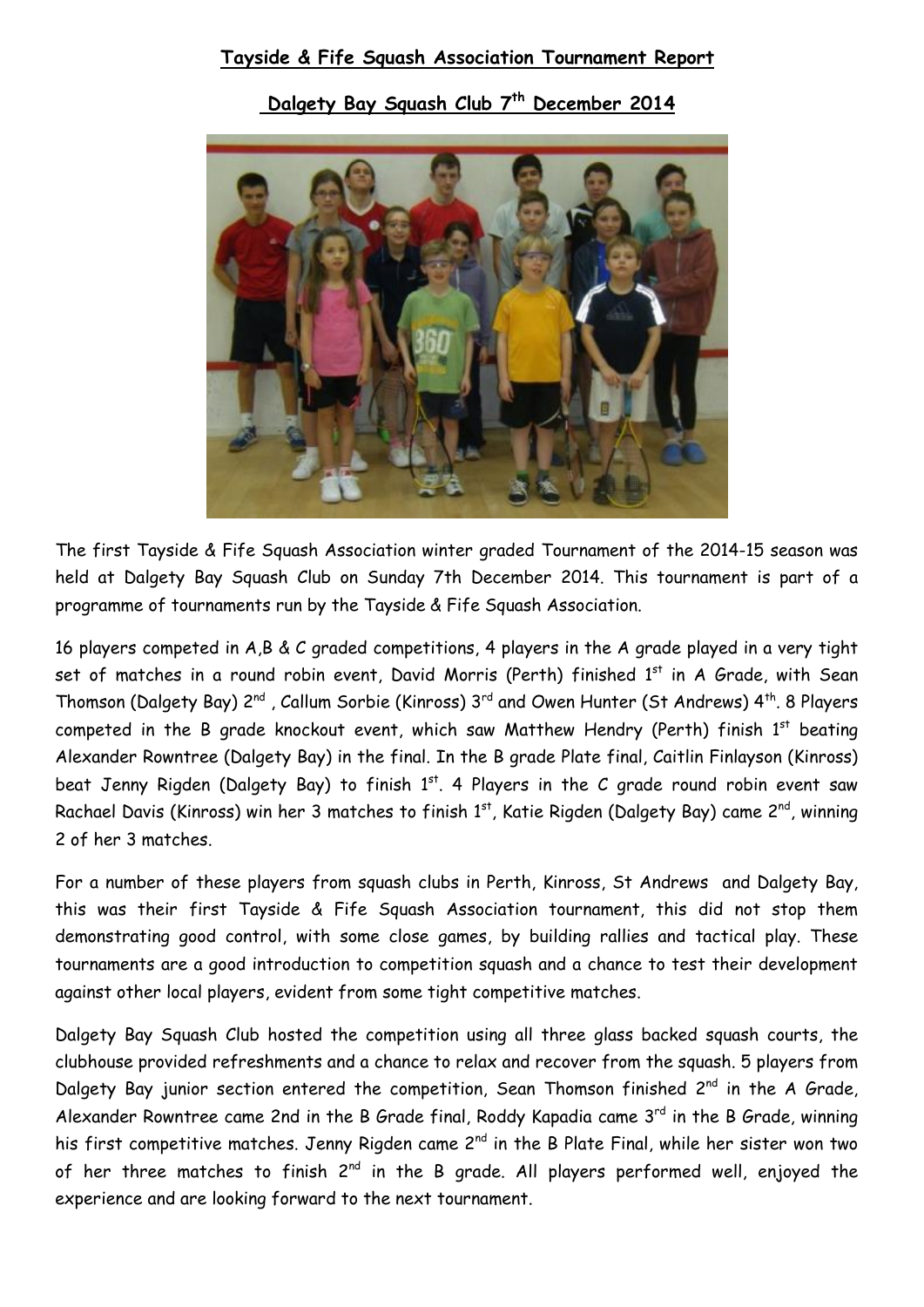## **Tayside & Fife Squash Association Tournament Report**

**Dalgety Bay Squash Club 7 th December 2014**



The first Tayside & Fife Squash Association winter graded Tournament of the 2014-15 season was held at Dalgety Bay Squash Club on Sunday 7th December 2014. This tournament is part of a programme of tournaments run by the Tayside & Fife Squash Association.

16 players competed in A,B & C graded competitions, 4 players in the A grade played in a very tight set of matches in a round robin event, David Morris (Perth) finished 1<sup>st</sup> in A Grade, with Sean Thomson (Dalgety Bay) 2<sup>nd</sup>, Callum Sorbie (Kinross) 3<sup>rd</sup> and Owen Hunter (St Andrews) 4<sup>th</sup>. 8 Players competed in the B grade knockout event, which saw Matthew Hendry (Perth) finish  $1<sup>st</sup>$  beating Alexander Rowntree (Dalgety Bay) in the final. In the B grade Plate final, Caitlin Finlayson (Kinross) beat Jenny Rigden (Dalgety Bay) to finish  $1<sup>st</sup>$ . 4 Players in the C grade round robin event saw Rachael Davis (Kinross) win her 3 matches to finish 1<sup>st</sup>, Katie Rigden (Dalgety Bay) came 2<sup>nd</sup>, winning 2 of her 3 matches.

For a number of these players from squash clubs in Perth, Kinross, St Andrews and Dalgety Bay, this was their first Tayside & Fife Squash Association tournament, this did not stop them demonstrating good control, with some close games, by building rallies and tactical play. These tournaments are a good introduction to competition squash and a chance to test their development against other local players, evident from some tight competitive matches.

Dalgety Bay Squash Club hosted the competition using all three glass backed squash courts, the clubhouse provided refreshments and a chance to relax and recover from the squash. 5 players from Dalgety Bay junior section entered the competition, Sean Thomson finished 2<sup>nd</sup> in the A Grade, Alexander Rowntree came 2nd in the B Grade final, Roddy Kapadia came  $3<sup>rd</sup>$  in the B Grade, winning his first competitive matches. Jenny Rigden came 2<sup>nd</sup> in the B Plate Final, while her sister won two of her three matches to finish  $2^{nd}$  in the B grade. All players performed well, enjoyed the experience and are looking forward to the next tournament.